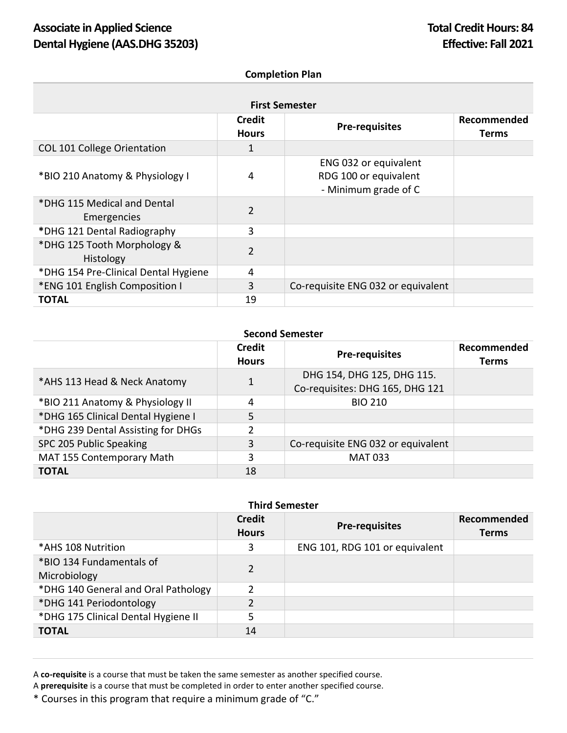## **Completion Plan**

| <b>First Semester</b>                      |                               |                                                                        |                             |
|--------------------------------------------|-------------------------------|------------------------------------------------------------------------|-----------------------------|
|                                            | <b>Credit</b><br><b>Hours</b> | <b>Pre-requisites</b>                                                  | Recommended<br><b>Terms</b> |
| <b>COL 101 College Orientation</b>         | 1                             |                                                                        |                             |
| *BIO 210 Anatomy & Physiology I            | 4                             | ENG 032 or equivalent<br>RDG 100 or equivalent<br>- Minimum grade of C |                             |
| *DHG 115 Medical and Dental<br>Emergencies | $\overline{2}$                |                                                                        |                             |
| *DHG 121 Dental Radiography                | 3                             |                                                                        |                             |
| *DHG 125 Tooth Morphology &<br>Histology   | $\overline{2}$                |                                                                        |                             |
| *DHG 154 Pre-Clinical Dental Hygiene       | 4                             |                                                                        |                             |
| *ENG 101 English Composition I             | 3                             | Co-requisite ENG 032 or equivalent                                     |                             |
| <b>TOTAL</b>                               | 19                            |                                                                        |                             |

## **Second Semester**

|                                    | <b>Credit</b><br><b>Hours</b> | <b>Pre-requisites</b>                                         | Recommended<br><b>Terms</b> |
|------------------------------------|-------------------------------|---------------------------------------------------------------|-----------------------------|
| *AHS 113 Head & Neck Anatomy       | $\mathbf 1$                   | DHG 154, DHG 125, DHG 115.<br>Co-requisites: DHG 165, DHG 121 |                             |
| *BIO 211 Anatomy & Physiology II   | 4                             | <b>BIO 210</b>                                                |                             |
| *DHG 165 Clinical Dental Hygiene I | 5                             |                                                               |                             |
| *DHG 239 Dental Assisting for DHGs | 2                             |                                                               |                             |
| SPC 205 Public Speaking            | 3                             | Co-requisite ENG 032 or equivalent                            |                             |
| MAT 155 Contemporary Math          | 3                             | <b>MAT 033</b>                                                |                             |
| <b>TOTAL</b>                       | 18                            |                                                               |                             |

## **Third Semester**

|                                          | <b>Credit</b><br><b>Hours</b> | <b>Pre-requisites</b>          | Recommended<br><b>Terms</b> |
|------------------------------------------|-------------------------------|--------------------------------|-----------------------------|
| *AHS 108 Nutrition                       | 3                             | ENG 101, RDG 101 or equivalent |                             |
| *BIO 134 Fundamentals of<br>Microbiology | $\overline{2}$                |                                |                             |
| *DHG 140 General and Oral Pathology      | 2                             |                                |                             |
| *DHG 141 Periodontology                  | $\overline{2}$                |                                |                             |
| *DHG 175 Clinical Dental Hygiene II      | 5                             |                                |                             |
| <b>TOTAL</b>                             | 14                            |                                |                             |

A **co-requisite** is a course that must be taken the same semester as another specified course.

A **prerequisite** is a course that must be completed in order to enter another specified course.

\* Courses in this program that require a minimum grade of "C."